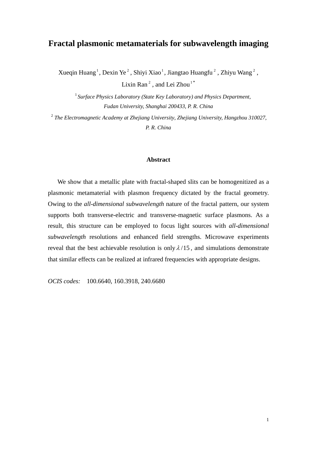## **Fractal plasmonic metamaterials for subwavelength imaging**

Xueqin Huang<sup>1</sup>, Dexin Ye<sup>2</sup>, Shiyi Xiao<sup>1</sup>, Jiangtao Huangfu<sup>2</sup>, Zhiyu Wang<sup>2</sup>,

Lixin Ran<sup>2</sup>, and Lei Zhou<sup>1\*</sup>

<sup>1</sup> Surface Physics Laboratory (State Key Laboratory) and Physics Department, *Fudan University, Shanghai 200433, P. R. China* 

<sup>2</sup> *The Electromagnetic Academy at Zhejiang University*, *Zhejiang University, Hangzhou 310027, P. R. China* 

## **Abstract**

We show that a metallic plate with fractal-shaped slits can be homogenitized as a plasmonic metamaterial with plasmon frequency dictated by the fractal geometry. Owing to the *all-dimensional subwavelength* nature of the fractal pattern, our system supports both transverse-electric and transverse-magnetic surface plasmons. As a result, this structure can be employed to focus light sources with *all-dimensional subwavelength* resolutions and enhanced field strengths. Microwave experiments reveal that the best achievable resolution is only  $\lambda/15$ , and simulations demonstrate that similar effects can be realized at infrared frequencies with appropriate designs.

*OCIS codes:* 100.6640, 160.3918, 240.6680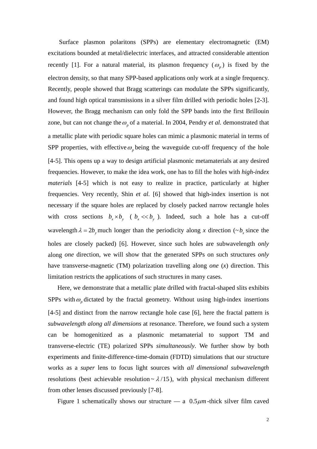Surface plasmon polaritons (SPPs) are elementary electromagnetic (EM) excitations bounded at metal/dielectric interfaces, and attracted considerable attention recently [1]. For a natural material, its plasmon frequency  $(\omega_p)$  is fixed by the electron density, so that many SPP-based applications only work at a single frequency. Recently, people showed that Bragg scatterings can modulate the SPPs significantly, and found high optical transmissions in a silver film drilled with periodic holes [2-3]. However, the Bragg mechanism can only fold the SPP bands into the first Brillouin zone, but can not change the  $\omega_p$  of a material. In 2004, Pendry *et al.* demonstrated that a metallic plate with periodic square holes can mimic a plasmonic material in terms of SPP properties, with effective  $\omega_p$  being the waveguide cut-off frequency of the hole [4-5]. This opens up a way to design artificial plasmonic metamaterials at any desired frequencies. However, to make the idea work, one has to fill the holes with *high-index materials* [4-5] which is not easy to realize in practice, particularly at higher frequencies. Very recently, Shin *et al.* [6] showed that high-index insertion is not necessary if the square holes are replaced by closely packed narrow rectangle holes with cross sections  $b_x \times b_y$  ( $b_x \ll b_y$ ). Indeed, such a hole has a cut-off wavelength  $\lambda = 2b$ , much longer than the periodicity along *x* direction ( $\sim b_x$  since the holes are closely packed) [6]. However, since such holes are subwavelength *only* along *one* direction, we will show that the generated SPPs on such structures *only* have transverse-magnetic (TM) polarization travelling along *one* (*x*) direction. This limitation restricts the applications of such structures in many cases.

Here, we demonstrate that a metallic plate drilled with fractal-shaped slits exhibits SPPs with  $\omega_p$  dictated by the fractal geometry. Without using high-index insertions [4-5] and distinct from the narrow rectangle hole case [6], here the fractal pattern is *subwavelength along all dimensions* at resonance. Therefore, we found such a system can be homogenitized as a plasmonic metamaterial to support TM and transverse-electric (TE) polarized SPPs *simultaneously*. We further show by both experiments and finite-difference-time-domain (FDTD) simulations that our structure works as a *super* lens to focus light sources with *all dimensional subwavelength* resolutions (best achievable resolution  $\sim \lambda/15$ ), with physical mechanism different from other lenses discussed previously [7-8].

Figure 1 schematically shows our structure — a  $0.5 \mu m$ -thick silver film caved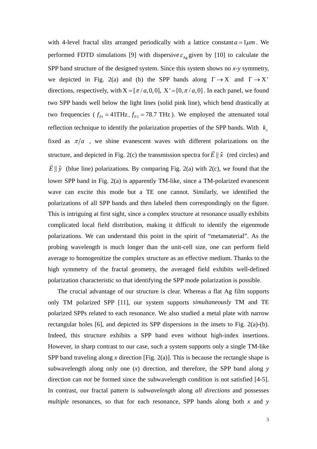with 4-level fractal slits arranged periodically with a lattice constant  $a = 1 \mu m$ . We performed FDTD simulations [9] with dispersive  $\varepsilon_{Ag}$  given by [10] to calculate the SPP band structure of the designed system. Since this system shows no *x-y* symmetry, we depicted in Fig. 2(a) and (b) the SPP bands along  $\Gamma \rightarrow X$  and  $\Gamma \rightarrow X'$ directions, respectively, with  $X = [\pi/a, 0, 0]$ ,  $X' = [0, \pi/a, 0]$ . In each panel, we found two frequencies ( $f_{p_1} = 41THz$ ,  $f_{p_2} = 78.7 THz$ ). We employed the attenuated total two SPP bands well below the light lines (solid pink line), which bend drastically at reflection technique to identify the polarization properties of the SPP bands. With  $k<sub>x</sub>$ fixed as  $\pi/a$  , we shine evanescent waves with different polarizations on the structure, and depicted in Fig. 2(c) the transmission spectra for  $\vec{E} \parallel \hat{x}$  (red circles) and  $\vec{E} \parallel \hat{y}$  (blue line) polarizations. By comparing Fig. 2(a) with 2(c), we found that the lower SPP band in Fig. 2(a) is apparently TM-like, since a TM-polarized evanescent wave can excite this mode but a TE one cannot. Similarly, we identified the polarizations of all SPP bands and then labeled them correspondingly on the figure. This is intriguing at first sight, since a complex structure at resonance usually exhibits complicated local field distribution, making it difficult to identify the eigenmode polarizations. We can understand this point in the spirit of "metamaterial". As the probing wavelength is much longer than the unit-cell size, one can perform field average to homogenitize the complex structure as an effective medium. Thanks to the high symmetry of the fractal geometry, the averaged field exhibits well-defined polarization characteristic so that identifying the SPP mode polarization is possible.

 The crucial advantage of our structure is clear. Whereas a flat Ag film supports only TM polarized SPP [11], our system supports *simultaneously* TM and TE polarized SPPs related to each resonance. We also studied a metal plate with narrow rectangular holes [6], and depicted its SPP dispersions in the insets to Fig. 2(a)-(b). Indeed, this structure exhibits a SPP band even without high-index insertions. However, in sharp contrast to our case, such a system supports only a single TM-like SPP band traveling along *x* direction [Fig. 2(a)]. This is because the rectangle shape is subwavelength along only one (*x*) direction, and therefore, the SPP band along *y* direction can *not* be formed since the subwavelength condition is not satisfied [4-5]. In contrast, our fractal pattern is *subwavelength* along *all directions* and possesses *multiple* resonances, so that for each resonance, SPP bands along both *x* and *y*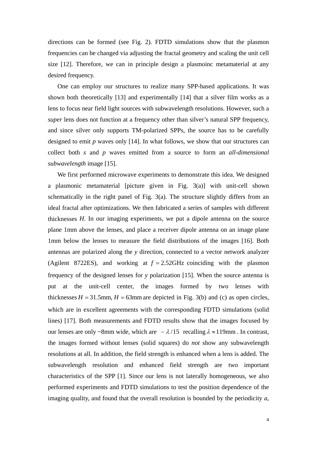directions can be formed (see Fig. 2). FDTD simulations show that the plasmon frequencies can be changed via adjusting the fractal geometry and scaling the unit cell size [12]. Therefore, we can in principle design a plasmoinc metamaterial at any desired frequency.

One can employ our structures to realize many SPP-based applications. It was shown both theoretically [13] and experimentally [14] that a silver film works as a lens to focus near field light sources with subwavelength resolutions. However, such a *super* lens does not function at a frequency other than silver's natural SPP frequency, and since silver only supports TM-polarized SPPs, the source has to be carefully designed to emit *p* waves only [14]. In what follows, we show that our structures can collect both *s* and *p* waves emitted from a source to form an *all-dimensional subwavelength* image [15].

We first performed microwave experiments to demonstrate this idea. We designed a plasmonic metamaterial [picture given in Fig. 3(a)] with unit-cell shown schematically in the right panel of Fig. 3(a). The structure slightly differs from an ideal fractal after optimizations. We then fabricated a series of samples with different thicknesses *H*. In our imaging experiments, we put a dipole antenna on the source plane 1mm above the lenses, and place a receiver dipole antenna on an image plane 1mm below the lenses to measure the field distributions of the images [16]. Both antennas are polarized along the *y* direction, connected to a vector network analyzer (Agilent 8722ES), and working at  $f = 2.52 \text{GHz}$  coinciding with the plasmon frequency of the designed lenses for *y* polarization [15]. When the source antenna is put at the unit-cell center, the images formed by two lenses with thicknesses  $H = 31.5$ mm,  $H = 63$ mm are depicted in Fig. 3(b) and (c) as open circles, which are in excellent agreements with the corresponding FDTD simulations (solid lines) [17]. Both measurements and FDTD results show that the images focused by our lenses are only ~8mm wide, which are  $\sim \lambda/15$  recalling  $\lambda \approx 119$ mm. In contrast, the images formed without lenses (solid squares) do *not* show any subwavelength resolutions at all. In addition, the field strength is enhanced when a lens is added. The subwavelength resolution and enhanced field strength are two important characteristics of the SPP [1]. Since our lens is not laterally homogeneous, we also performed experiments and FDTD simulations to test the position dependence of the imaging quality, and found that the overall resolution is bounded by the periodicity *a*,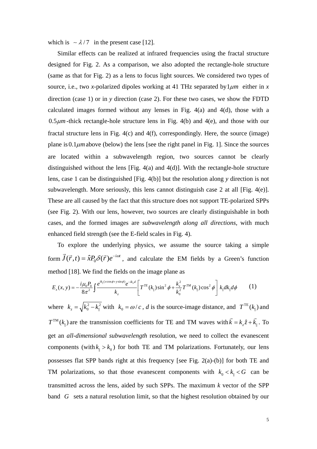which is  $\sim \lambda/7$  in the present case [12].

Similar effects can be realized at infrared frequencies using the fractal structure designed for Fig. 2. As a comparison, we also adopted the rectangle-hole structure (same as that for Fig. 2) as a lens to focus light sources. We considered two types of source, i.e., two *x*-polarized dipoles working at 41 THz separated by  $1 \mu m$  either in *x* direction (case 1) or in *y* direction (case 2). For these two cases, we show the FDTD calculated images formed without any lenses in Fig. 4(a) and 4(d), those with a  $0.5 \mu m$ -thick rectangle-hole structure lens in Fig. 4(b) and 4(e), and those with our fractal structure lens in Fig.  $4(c)$  and  $4(f)$ , correspondingly. Here, the source (image) plane is  $0.1 \mu$ m above (below) the lens [see the right panel in Fig. 1]. Since the sources are located within a subwavelength region, two sources cannot be clearly distinguished without the lens [Fig. 4(a) and 4(d)]. With the rectangle-hole structure lens, case 1 can be distinguished [Fig. 4(b)] but the resolution along *y* direction is not subwavelength. More seriously, this lens cannot distinguish case 2 at all [Fig. 4(e)]. These are all caused by the fact that this structure does not support TE-polarized SPPs (see Fig. 2). With our lens, however, two sources are clearly distinguishable in both cases, and the formed images are *subwavelength along all directions*, with much enhanced field strength (see the E-field scales in Fig. 4).

To explore the underlying physics, we assume the source taking a simple form  $\vec{J}(\vec{r},t) = \hat{x}P_0\delta(\vec{r})e^{-i\omega t}$ , and calculate the EM fields by a Green's function method [18]. We find the fields on the image plane as

$$
E_x(x, y) = -\frac{i\mu_0 P_0}{8\pi^2} \int \frac{e^{ik_{\parallel}(x\cos\phi + y\sin\phi)}e^{-ik_z d}}{k_z} \left[ T^{TE}(k_{\parallel})\sin^2\phi + \frac{k_z^2}{k_0^2} T^{TM}(k_{\parallel})\cos^2\phi \right] k_{\parallel} dk_{\parallel} d\phi \tag{1}
$$

where  $k_z = \sqrt{k_0^2 - k_\parallel^2}$  with  $k_0 = \omega/c$ , *d* is the source-image distance, and  $T^{TE}(k_\parallel)$  and are the transmission coefficients for TE and TM waves with  $k = k_z \hat{z} + k_{\parallel}$ . To get an *all-dimensional subwavelength* resolution, we need to collect the evanescent components (with  $k_{\parallel} > k_0$ ) for both TE and TM polarizations. Fortunately, our lens possesses flat SPP bands right at this frequency [see Fig. 2(a)-(b)] for both TE and TM polarizations, so that those evanescent components with  $k_0 < k_{\parallel} < G$  can be transmitted across the lens, aided by such SPPs. The maximum *k* vector of the SPP band G sets a natural resolution limit, so that the highest resolution obtained by our  $T^{TM}(k_{\parallel})$  are the transmission coefficients for TE and TM waves with  $\vec{k} = k_z \hat{z} + \vec{k}$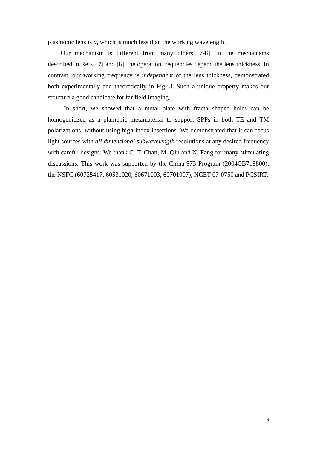plasmonic lens is *a*, which is much less than the working wavelength.

Our mechanism is different from many others [7-8]. In the mechanisms described in Refs. [7] and [8], the operation frequencies depend the lens thickness. In contrast, our working frequency is *independent* of the lens thickness, demonstrated both experimentally and theoretically in Fig. 3. Such a unique property makes our structure a good candidate for far field imaging.

 In short, we showed that a metal plate with fractal-shaped holes can be homogenitized as a plamonic metamaterial to support SPPs in both TE and TM polarizations, without using high-index insertions. We demonstrated that it can focus light sources with *all dimensional subwavelength* resolutions at any desired frequency with careful designs. We thank C. T. Chan, M. Qiu and N. Fang for many stimulating discussions. This work was supported by the China-973 Program (2004CB719800), the NSFC (60725417, 60531020, 60671003, 60701007), NCET-07-0750 and PCSIRT.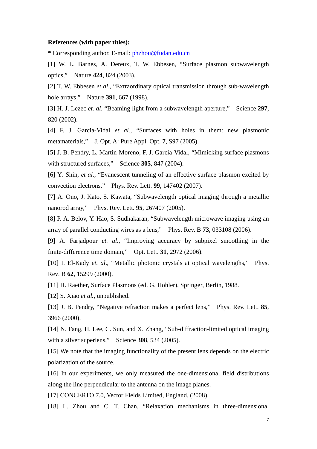## **References (with paper titles):**

\* Corresponding author. E-mail: [phzhou@fudan.edu.cn](mailto:phzhou@fudan.edu.cn)

[1] W. L. Barnes, A. Dereux, T. W. Ebbesen, "Surface plasmon subwavelength optics," Nature **424**, 824 (2003).

[2] T. W. Ebbesen *et al*., "Extraordinary optical transmission through sub-wavelength hole arrays," Nature **391**, 667 (1998).

[3] H. J. Lezec *et. al*. "Beaming light from a subwavelength aperture," Science **297**, 820 (2002).

[4] F. J. Garcia-Vidal *et al.*, "Surfaces with holes in them: new plasmonic metamaterials," J. Opt. A: Pure Appl. Opt. **7**, S97 (2005).

[5] J. B. Pendry, L. Martin-Moreno, F. J. Garcia-Vidal, "Mimicking surface plasmons with structured surfaces," Science **305**, 847 (2004).

[6] Y. Shin, *et al.*, "Evanescent tunneling of an effective surface plasmon excited by convection electrons," Phys. Rev. Lett. **99**, 147402 (2007).

[7] A. Ono, J. Kato, S. Kawata, "Subwavelength optical imaging through a metallic nanorod array," Phys. Rev. Lett. **95**, 267407 (2005).

[8] P. A. Belov, Y. Hao, S. Sudhakaran, "Subwavelength microwave imaging using an array of parallel conducting wires as a lens," Phys. Rev. B **73**, 033108 (2006).

[9] A. Farjadpour *et. al.*, "Improving accuracy by subpixel smoothing in the finite-difference time domain," Opt. Lett. **31**, 2972 (2006).

[10] I. El-Kady *et. al.*, "Metallic photonic crystals at optical wavelengths," Phys. Rev. B **62**, 15299 (2000).

[11] H. Raether, Surface Plasmons (ed. G. Hohler), Springer, Berlin, 1988.

[12] S. Xiao *et al.*, unpublished.

[13] J. B. Pendry, "Negative refraction makes a perfect lens," Phys. Rev. Lett. **85**, 3966 (2000).

[14] N. Fang, H. Lee, C. Sun, and X. Zhang, "Sub-diffraction-limited optical imaging with a silver superlens," Science **308**, 534 (2005).

[15] We note that the imaging functionality of the present lens depends on the electric polarization of the source.

[16] In our experiments, we only measured the one-dimensional field distributions along the line perpendicular to the antenna on the image planes.

[17] CONCERTO 7.0, Vector Fields Limited, England, (2008).

[18] L. Zhou and C. T. Chan, "Relaxation mechanisms in three-dimensional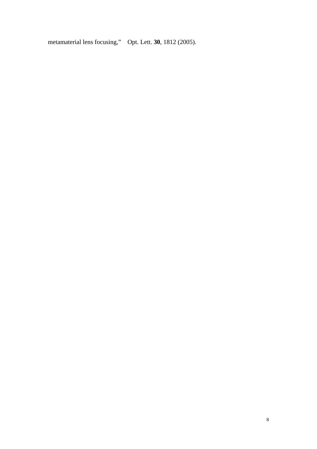metamaterial lens focusing," Opt. Lett. **30**, 1812 (2005).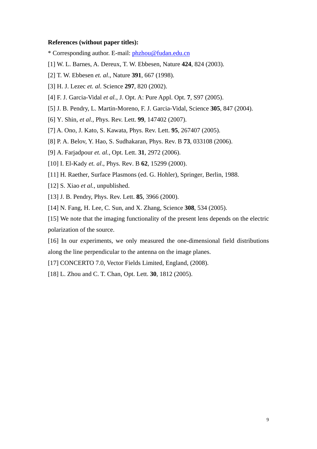## **References (without paper titles):**

\* Corresponding author. E-mail: [phzhou@fudan.edu.cn](mailto:phzhou@fudan.edu.cn)

- [1] W. L. Barnes, A. Dereux, T. W. Ebbesen, Nature **424**, 824 (2003).
- [2] T. W. Ebbesen *et. al*., Nature **391**, 667 (1998).
- [3] H. J. Lezec *et. al*. Science **297**, 820 (2002).
- [4] F. J. Garcia-Vidal *et al.*, J. Opt. A: Pure Appl. Opt. **7**, S97 (2005).
- [5] J. B. Pendry, L. Martin-Moreno, F. J. Garcia-Vidal, Science **305**, 847 (2004).
- [6] Y. Shin, *et al.*, Phys. Rev. Lett. **99**, 147402 (2007).
- [7] A. Ono, J. Kato, S. Kawata, Phys. Rev. Lett. **95**, 267407 (2005).
- [8] P. A. Belov, Y. Hao, S. Sudhakaran, Phys. Rev. B **73**, 033108 (2006).
- [9] A. Farjadpour *et. al.*, Opt. Lett. **31**, 2972 (2006).
- [10] I. El-Kady *et. al*., Phys. Rev. B **62**, 15299 (2000).
- [11] H. Raether, Surface Plasmons (ed. G. Hohler), Springer, Berlin, 1988.
- [12] S. Xiao *et al.*, unpublished.
- [13] J. B. Pendry, Phys. Rev. Lett. **85**, 3966 (2000).
- [14] N. Fang, H. Lee, C. Sun, and X. Zhang, Science **308**, 534 (2005).

[15] We note that the imaging functionality of the present lens depends on the electric polarization of the source.

[16] In our experiments, we only measured the one-dimensional field distributions along the line perpendicular to the antenna on the image planes.

[17] CONCERTO 7.0, Vector Fields Limited, England, (2008).

[18] L. Zhou and C. T. Chan, Opt. Lett. **30**, 1812 (2005).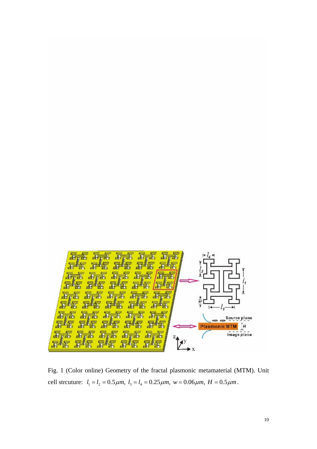

Fig. 1 (Color online) Geometry of the fractal plasmonic metamaterial (MTM). Unit cell strcuture:  $l_1 = l_2 = 0.5 \mu m$ ,  $l_3 = l_4 = 0.25 \mu m$ ,  $w = 0.06 \mu m$ ,  $H = 0.5 \mu m$ .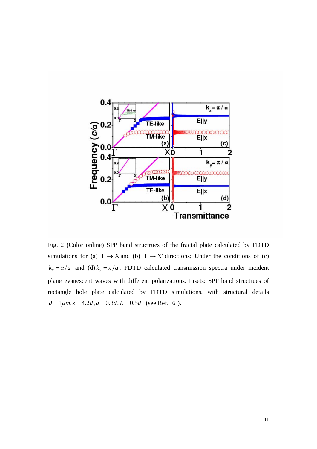

Fig. 2 (Color online) SPP band structrues of the fractal plate calculated by FDTD simulations for (a)  $\Gamma \rightarrow X$  and (b)  $\Gamma \rightarrow X'$  directions; Under the conditions of (c)  $k_x = \pi/a$  and (d)  $k_y = \pi/a$ , FDTD calculated transmission spectra under incident plane evanescent waves with different polarizations. Insets: SPP band structrues of rectangle hole plate calculated by FDTD simulations, with structural details  $d = 1 \mu m$ ,  $s = 4.2d$ ,  $a = 0.3d$ ,  $L = 0.5d$  (see Ref. [6]).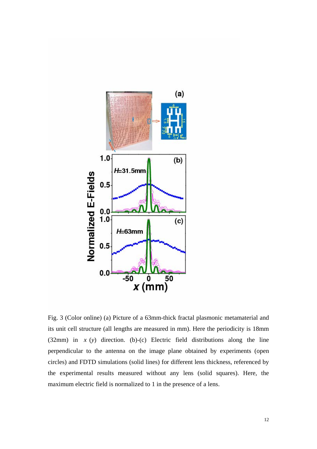

Fig. 3 (Color online) (a) Picture of a 63mm-thick fractal plasmonic metamaterial and its unit cell structure (all lengths are measured in mm). Here the periodicity is 18mm (32mm) in *x* (*y*) direction. (b)-(c) Electric field distributions along the line perpendicular to the antenna on the image plane obtained by experiments (open circles) and FDTD simulations (solid lines) for different lens thickness, referenced by the experimental results measured without any lens (solid squares). Here, the maximum electric field is normalized to 1 in the presence of a lens.